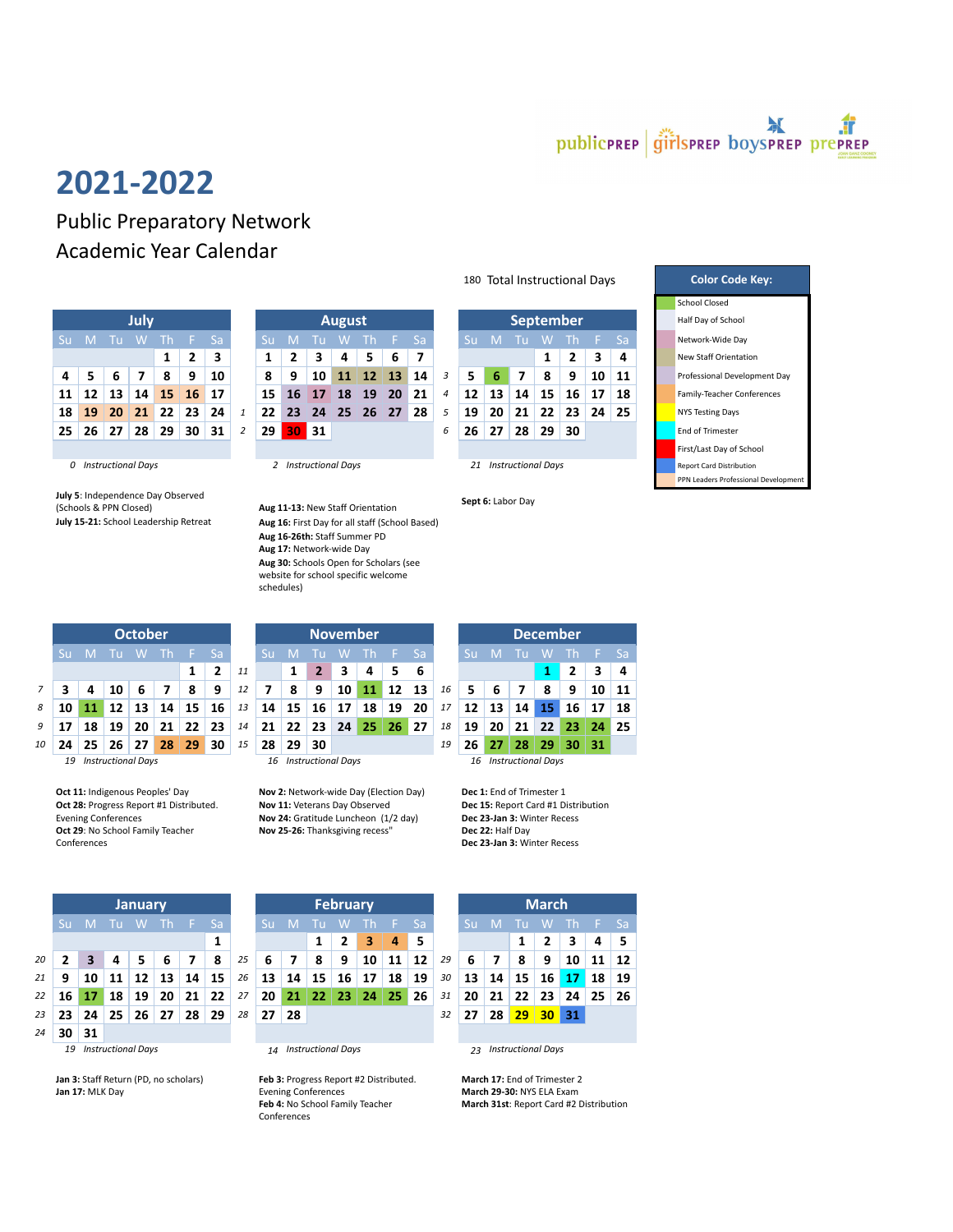

## 2021-2022

Public Preparatory Network Academic Year Calendar

| July                                                         |                                                |  |  |                                                      |  |    |  |  |  |  |  |  |  |  |
|--------------------------------------------------------------|------------------------------------------------|--|--|------------------------------------------------------|--|----|--|--|--|--|--|--|--|--|
| Su M Tu W Th<br>Sa<br>- F                                    |                                                |  |  |                                                      |  |    |  |  |  |  |  |  |  |  |
|                                                              | $\overline{\mathbf{3}}$<br>$\overline{2}$<br>1 |  |  |                                                      |  |    |  |  |  |  |  |  |  |  |
| 9<br>5<br>- 8<br>4<br>6 <sup>6</sup><br>10<br>$\overline{z}$ |                                                |  |  |                                                      |  |    |  |  |  |  |  |  |  |  |
|                                                              |                                                |  |  | $11 \mid 12 \mid 13 \mid 14 \mid 15 \mid 16 \mid 17$ |  |    |  |  |  |  |  |  |  |  |
| 18                                                           |                                                |  |  | 19 20 21 22 23                                       |  | 24 |  |  |  |  |  |  |  |  |
|                                                              |                                                |  |  | $25 \mid 26 \mid 27 \mid 28 \mid 29 \mid 30$         |  | 31 |  |  |  |  |  |  |  |  |
|                                                              |                                                |  |  |                                                      |  |    |  |  |  |  |  |  |  |  |

July 5: Independence Day Observed July S: Independence Day Observed<br>
(Schools & PPN Closed) (Schools Aug 11-13: New Staff Orientation Sept 6: Labor Day<br>
Sept 6: Labor Day<br>
Aug 16: First Day for all staff (School Based)



|    |                                 |    | 10 | 6  |    | 8   | 9  | 12 | $\overline{7}$ | 8                     | 9               | 10 <sup>1</sup> | 11 | 12 13 |     | 16 |                 |    |                       | 8               | 9  | 10  |
|----|---------------------------------|----|----|----|----|-----|----|----|----------------|-----------------------|-----------------|-----------------|----|-------|-----|----|-----------------|----|-----------------------|-----------------|----|-----|
| 8  | 10                              |    | 12 | 13 | 14 | 15  | 16 | 13 | 14             | 15                    | 16 <sup>1</sup> | $\sqrt{17}$     | 18 | 19    | -20 | 17 | 12              | 13 | 14 <sup>1</sup>       | 45/             | 16 | 17  |
| 9  | 17                              | 18 | 19 | 20 | 21 | 22  | 23 | 14 | 21             | 22                    | 23              | 24'             | 25 | 26    | 27  | 18 | 19              | 20 | 21                    | 22 <sub>1</sub> | 23 | -24 |
| 10 | 24                              | 25 | 26 | 27 | 28 | 29' | 30 | 15 | 28             | 29                    | 30              |                 |    |       |     | 19 | 26 <sub>1</sub> | 27 | 28                    | 29              | 30 | -31 |
|    | <b>Instructional Days</b><br>19 |    |    |    |    |     |    |    |                | 16 Instructional Days |                 |                 |    |       |     |    |                 |    | 16 Instructional Days |                 |    |     |

Oct 28: Progress Report #1 Distributed. Evening Conferences Oct 29: No School Family Teacher Conferences

|    | <b>January</b> |                                  |                           |    |    |    |    |    | <b>February</b>                 |                      |    |    |    |    |    | <b>March</b>                    |    |    |    |                 |    |    |           |  |
|----|----------------|----------------------------------|---------------------------|----|----|----|----|----|---------------------------------|----------------------|----|----|----|----|----|---------------------------------|----|----|----|-----------------|----|----|-----------|--|
|    | Sū             |                                  | ш                         | W  | Th |    | Sa |    |                                 | <b>Sa</b><br>M<br>Th |    |    |    |    |    |                                 |    |    |    | W               |    |    | <b>Sa</b> |  |
|    |                | 1                                |                           |    |    |    |    |    |                                 |                      |    | 2  | 3  | 4  | 5  |                                 |    |    |    | 2               | 3  | 4  | -5        |  |
| 20 | 7              | 3                                |                           |    | 6  |    | 8  | 25 | 6                               | 7                    | 8  | 9  | 10 | 11 | 12 | 29                              | 6  | 7  | 8  | 9               | 10 | 11 | 12        |  |
| 21 | 9              | 10                               | 11                        | 12 | 13 | 14 | 15 | 26 | 13                              | 14                   | 15 | 16 | 17 | 18 | 19 | 30                              | 13 | 14 | 15 | 16              | 17 | 18 | 19        |  |
| 22 | 16             | 17                               | 18                        | 19 | 20 | 21 | 22 | 27 | 20                              | 21                   | 22 | 23 | 24 | 25 | 26 | 31                              | 20 | 21 | 22 | 23              | 24 | 25 | 26        |  |
| 23 | 23             | 26<br>29<br>25<br>27<br>28<br>24 |                           |    |    |    |    |    | 27                              | 28                   |    |    |    |    |    |                                 | 27 | 28 | 29 | 30 <sub>2</sub> | 31 |    |           |  |
| 24 | 30             | 31                               |                           |    |    |    |    |    |                                 |                      |    |    |    |    |    |                                 |    |    |    |                 |    |    |           |  |
|    | 19             |                                  | <b>Instructional Days</b> |    |    |    |    |    | <b>Instructional Days</b><br>14 |                      |    |    |    |    |    | <b>Instructional Days</b><br>23 |    |    |    |                 |    |    |           |  |

Jan 3: Staff Return (PD, no scholars) Jan 17: MLK Day

|                 |           |      |          |                 |         |               |    |              |     |    |                 |           |               |                  |                   |              |    |    |    |    |                    |  | <b>JUNUAL CIUJUU</b>       |
|-----------------|-----------|------|----------|-----------------|---------|---------------|----|--------------|-----|----|-----------------|-----------|---------------|------------------|-------------------|--------------|----|----|----|----|--------------------|--|----------------------------|
| July            |           |      |          |                 |         | <b>August</b> |    |              |     |    |                 |           |               | <b>September</b> |                   |              |    |    |    |    | Half Day of School |  |                            |
| Su -            | ۱M۱       | – Tu | <b>W</b> |                 | Th F Sa |               | Su | $\mathbf{M}$ | ா   | w  | -Th             |           | $\angle$ E Sa |                  |                   | $\mathsf{M}$ | Tu | W  |    |    | -Sa                |  | Network-Wide Day           |
|                 |           |      |          |                 | 2       | 3             |    |              | 3   | 4  | 5.              | 6         |               |                  |                   |              |    |    |    | 3  | 4                  |  | New Staff Orientati        |
| 4               |           | 6    |          | 8               | 9       | 10            | 8  | 9            | 10  | 11 | 12 <sup>1</sup> | <b>13</b> | 14            | 3                |                   | 6            | 7  | 8  | 9  | 10 | 11                 |  | <b>Professional Develo</b> |
| 11              | 12        | 13   | 14       | 15 <sup>1</sup> | 16      | $\sqrt{17}$   | 15 | 16           | -17 | 18 | 19              | 20        | 21            | 4                | $12 \overline{ }$ | 13           | 14 | 15 | 16 | 17 | 18                 |  | Family-Teacher Cor         |
| 18 <sup>1</sup> | <b>19</b> | 20   | 21       | 22              | 23      | 24            | 22 | 23           | 24  | 25 | 26              | 27        | 28            |                  | 19                | 20           | 21 | 22 | 23 |    | $24 \mid 25$       |  | NYS Testing Days           |
| 25 I            | 26        | 27   | 28       | 29              | 30      | 31            | 29 | 30           | 31  |    |                 |           |               | 6                | 26                | 27           | 28 | 29 | 30 |    |                    |  | <b>End of Trimester</b>    |
|                 |           |      |          |                 |         |               |    |              |     |    |                 |           |               |                  |                   |              |    |    |    |    |                    |  |                            |

Aug 16: First Day for all staff (School Based) Aug 16-26th: Staff Summer PD Aug 17: Network-wide Day Aug 30: Schools Open for Scholars (see website for school specific welcome

schedules)



180 Total Instructional Days **Color Code Key:** School Closed  $1 \ 2 \ 3 \ 4 \ 1$  New Staff Orientation First/Last Day of School PPN Leaders Professional Developr



Oct 11: Indigenous Peoples' Day Nov 2: Network-wide Day (Election Day) Dec 1: End of Trimester 1 Nov 11: Veterans Day Observed Nov 24: Gratitude Luncheon (1/2 day) Nov 25-26: Thanksgiving recess"



Dec 15: Report Card #1 Distribution Dec 23-Jan 3: Winter Recess Dec 22: Half Day Dec 23-Jan 3: Winter Recess

| <b>January</b> |              |    |    |     |                 |               |    | February        |                |    |   |              |    |           |    | <b>March</b> |    |    |                 |                 |    |     |  |
|----------------|--------------|----|----|-----|-----------------|---------------|----|-----------------|----------------|----|---|--------------|----|-----------|----|--------------|----|----|-----------------|-----------------|----|-----|--|
| Sul            | $\mathbf{M}$ | Тu | W  | -Th | 1 F .           | Sa            |    | Su              | M              | ΤП | W | -Th          |    | <b>Sa</b> |    | . Su l       | M  |    | W               | Πh              |    | -Sa |  |
|                |              |    |    |     |                 | 1             |    |                 |                |    | 2 | 3            | 4  | 5         |    |              |    |    | 2               | 3               | 4  | - 5 |  |
| $\mathbf{2}$   | 3            | 4  |    | 6   |                 | 8             | 25 | 6               | $\overline{7}$ | 8  | 9 | 10           | 11 | 12        | 29 | 6            | 7  | 8  | 9               | 10              | 11 | -12 |  |
| 9              | 10           | 11 | 12 | 13  | 14 <sup>1</sup> | <sup>15</sup> | 26 | 13 <sup>1</sup> | <b>14</b>      | 15 |   | $16 \mid 17$ | 18 | 19        | 30 | 13           | 14 | 15 | 16              | 17              | 18 | 19  |  |
| 16             | 17           | 18 | 19 | 20  | 21              | 22            | 27 | 20              | 21             | 22 |   | $23 \mid 24$ | 25 | 26        | 31 | 20           | 21 | 22 | 23              | 24 <sup>1</sup> | 25 | -26 |  |
| 23             | 24           | 25 | 26 | 27  | 28              | 29            | 28 | 27              | 28             |    |   |              |    |           | 32 | 27           | 28 | 29 | 30 <sub>°</sub> | 31              |    |     |  |
| 20 I           | 21           |    |    |     |                 |               |    |                 |                |    |   |              |    |           |    |              |    |    |                 |                 |    |     |  |

Feb 3: Progress Report #2 Distributed. Evening Conferences Feb 4: No School Family Teacher Conferences

|                | <b>March</b> |    |                                              |                |           |              |     |  |  |  |  |  |  |  |
|----------------|--------------|----|----------------------------------------------|----------------|-----------|--------------|-----|--|--|--|--|--|--|--|
|                | Su           | M. |                                              |                | Tu W Th F | 'Sa          |     |  |  |  |  |  |  |  |
|                |              |    | 1                                            | $\overline{2}$ | 3         | 4            | 5   |  |  |  |  |  |  |  |
| 9              | 6            | 7  | -8                                           | 9              | 10        | $11 \mid 12$ |     |  |  |  |  |  |  |  |
| D              |              |    | $13 \mid 14 \mid 15 \mid 16 \mid 17 \mid 18$ |                |           |              | 19  |  |  |  |  |  |  |  |
| 1              | 20           |    | $21 \mid 22 \mid 23 \mid 24 \mid 25$         |                |           |              | -26 |  |  |  |  |  |  |  |
| $\overline{a}$ |              |    | 27 28 29 30                                  | ۰              | 31        |              |     |  |  |  |  |  |  |  |
|                |              |    |                                              |                |           |              |     |  |  |  |  |  |  |  |

March 17: End of Trimester 2 March 29-30: NYS ELA Exam March 31st: Report Card #2 Distribution